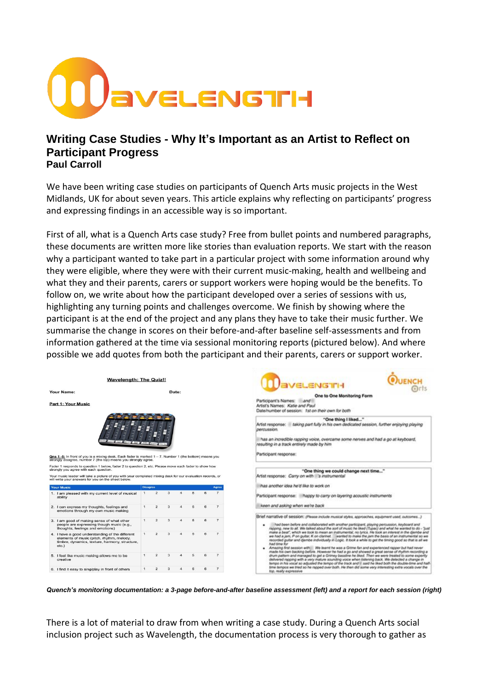

## **Writing Case Studies - Why It's Important as an Artist to Reflect on Participant Progress Paul Carroll**

We have been writing case studies on participants of Quench Arts music projects in the West Midlands, UK for about seven years. This article explains why reflecting on participants' progress and expressing findings in an accessible way is so important.

First of all, what is a Quench Arts case study? Free from bullet points and numbered paragraphs, these documents are written more like stories than evaluation reports. We start with the reason why a participant wanted to take part in a particular project with some information around why they were eligible, where they were with their current music-making, health and wellbeing and what they and their parents, carers or support workers were hoping would be the benefits. To follow on, we write about how the participant developed over a series of sessions with us, highlighting any turning points and challenges overcome. We finish by showing where the participant is at the end of the project and any plans they have to take their music further. We summarise the change in scores on their before-and-after baseline self-assessments and from information gathered at the time via sessional monitoring reports (pictured below). And where possible we add quotes from both the participant and their parents, carers or support worker.



Quench's monitoring documentation: a 3-page before-and-after baseline assessment (left) and a report for each session (right)

There is a lot of material to draw from when writing a case study. During a Quench Arts social inclusion project such as Wavelength, the documentation process is very thorough to gather as